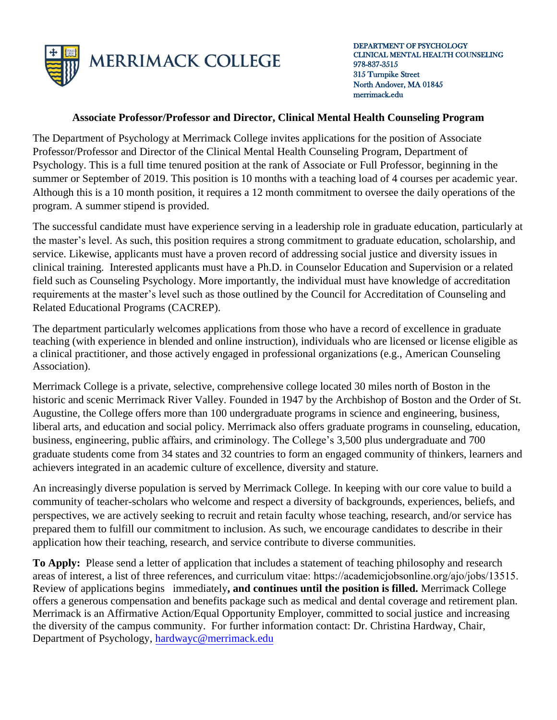

## **Associate Professor/Professor and Director, Clinical Mental Health Counseling Program**

The Department of Psychology at Merrimack College invites applications for the position of Associate Professor/Professor and Director of the Clinical Mental Health Counseling Program, Department of Psychology. This is a full time tenured position at the rank of Associate or Full Professor, beginning in the summer or September of 2019. This position is 10 months with a teaching load of 4 courses per academic year. Although this is a 10 month position, it requires a 12 month commitment to oversee the daily operations of the program. A summer stipend is provided.

The successful candidate must have experience serving in a leadership role in graduate education, particularly at the master's level. As such, this position requires a strong commitment to graduate education, scholarship, and service. Likewise, applicants must have a proven record of addressing social justice and diversity issues in clinical training. Interested applicants must have a Ph.D. in Counselor Education and Supervision or a related field such as Counseling Psychology. More importantly, the individual must have knowledge of accreditation requirements at the master's level such as those outlined by the Council for Accreditation of Counseling and Related Educational Programs (CACREP).

The department particularly welcomes applications from those who have a record of excellence in graduate teaching (with experience in blended and online instruction), individuals who are licensed or license eligible as a clinical practitioner, and those actively engaged in professional organizations (e.g., American Counseling Association).

Merrimack College is a private, selective, comprehensive college located 30 miles north of Boston in the historic and scenic Merrimack River Valley. Founded in 1947 by the Archbishop of Boston and the Order of St. Augustine, the College offers more than 100 undergraduate programs in science and engineering, business, liberal arts, and education and social policy. Merrimack also offers graduate programs in counseling, education, business, engineering, public affairs, and criminology. The College's 3,500 plus undergraduate and 700 graduate students come from 34 states and 32 countries to form an engaged community of thinkers, learners and achievers integrated in an academic culture of excellence, diversity and stature.

An increasingly diverse population is served by Merrimack College. In keeping with our core value to build a community of teacher-scholars who welcome and respect a diversity of backgrounds, experiences, beliefs, and perspectives, we are actively seeking to recruit and retain faculty whose teaching, research, and/or service has prepared them to fulfill our commitment to inclusion. As such, we encourage candidates to describe in their application how their teaching, research, and service contribute to diverse communities.

**To Apply:** Please send a letter of application that includes a statement of teaching philosophy and research areas of interest, a list of three references, and curriculum vitae: h[ttps://academicjobsonline](mailto:hrjobs@merrimack.edu).org/ajo/jobs/13515. Review of applications begins immediately**, and continues until the position is filled.** Merrimack College offers a generous compensation and benefits package such as medical and dental coverage and retirement plan. Merrimack is an Affirmative Action/Equal Opportunity Employer, committed to social justice and increasing the diversity of the campus community. For further information contact: Dr. Christina Hardway, Chair, Department of Psychology, [hardwayc@merrimack.edu](mailto:hardwayc@merrimack.edu)